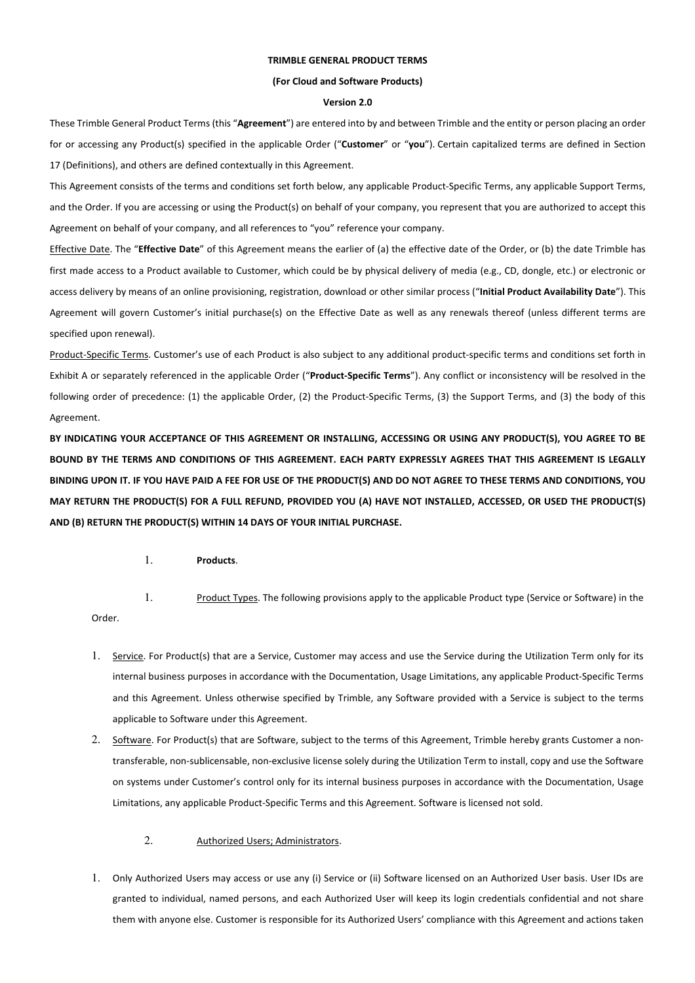# **TRIMBLE GENERAL PRODUCT TERMS**

#### **(For Cloud and Software Products)**

#### **Version 2.0**

These Trimble General Product Terms (this "**Agreement**") are entered into by and between Trimble and the entity or person placing an order for or accessing any Product(s) specified in the applicable Order ("**Customer**" or "**you**"). Certain capitalized terms are defined in Section 17 (Definitions), and others are defined contextually in this Agreement.

This Agreement consists of the terms and conditions set forth below, any applicable Product-Specific Terms, any applicable Support Terms, and the Order. If you are accessing or using the Product(s) on behalf of your company, you represent that you are authorized to accept this Agreement on behalf of your company, and all references to "you" reference your company.

Effective Date. The "**Effective Date**" of this Agreement means the earlier of (a) the effective date of the Order, or (b) the date Trimble has first made access to a Product available to Customer, which could be by physical delivery of media (e.g., CD, dongle, etc.) or electronic or access delivery by means of an online provisioning, registration, download or other similar process ("**Initial Product Availability Date**"). This Agreement will govern Customer's initial purchase(s) on the Effective Date as well as any renewals thereof (unless different terms are specified upon renewal).

Product-Specific Terms. Customer's use of each Product is also subject to any additional product-specific terms and conditions set forth in Exhibit A or separately referenced in the applicable Order ("**Product-Specific Terms**"). Any conflict or inconsistency will be resolved in the following order of precedence: (1) the applicable Order, (2) the Product-Specific Terms, (3) the Support Terms, and (3) the body of this Agreement.

**BY INDICATING YOUR ACCEPTANCE OF THIS AGREEMENT OR INSTALLING, ACCESSING OR USING ANY PRODUCT(S), YOU AGREE TO BE BOUND BY THE TERMS AND CONDITIONS OF THIS AGREEMENT. EACH PARTY EXPRESSLY AGREES THAT THIS AGREEMENT IS LEGALLY BINDING UPON IT. IF YOU HAVE PAID A FEE FOR USE OF THE PRODUCT(S) AND DO NOT AGREE TO THESE TERMS AND CONDITIONS, YOU MAY RETURN THE PRODUCT(S) FOR A FULL REFUND, PROVIDED YOU (A) HAVE NOT INSTALLED, ACCESSED, OR USED THE PRODUCT(S) AND (B) RETURN THE PRODUCT(S) WITHIN 14 DAYS OF YOUR INITIAL PURCHASE.**

1. **Products**.

1. Product Types. The following provisions apply to the applicable Product type (Service or Software) in the Order.

- 1. Service. For Product(s) that are a Service, Customer may access and use the Service during the Utilization Term only for its internal business purposes in accordance with the Documentation, Usage Limitations, any applicable Product-Specific Terms and this Agreement. Unless otherwise specified by Trimble, any Software provided with a Service is subject to the terms applicable to Software under this Agreement.
- 2. Software. For Product(s) that are Software, subject to the terms of this Agreement, Trimble hereby grants Customer a nontransferable, non-sublicensable, non-exclusive license solely during the Utilization Term to install, copy and use the Software on systems under Customer's control only for its internal business purposes in accordance with the Documentation, Usage Limitations, any applicable Product-Specific Terms and this Agreement. Software is licensed not sold.
	- 2. Authorized Users; Administrators.
- 1. Only Authorized Users may access or use any (i) Service or (ii) Software licensed on an Authorized User basis. User IDs are granted to individual, named persons, and each Authorized User will keep its login credentials confidential and not share them with anyone else. Customer is responsible for its Authorized Users' compliance with this Agreement and actions taken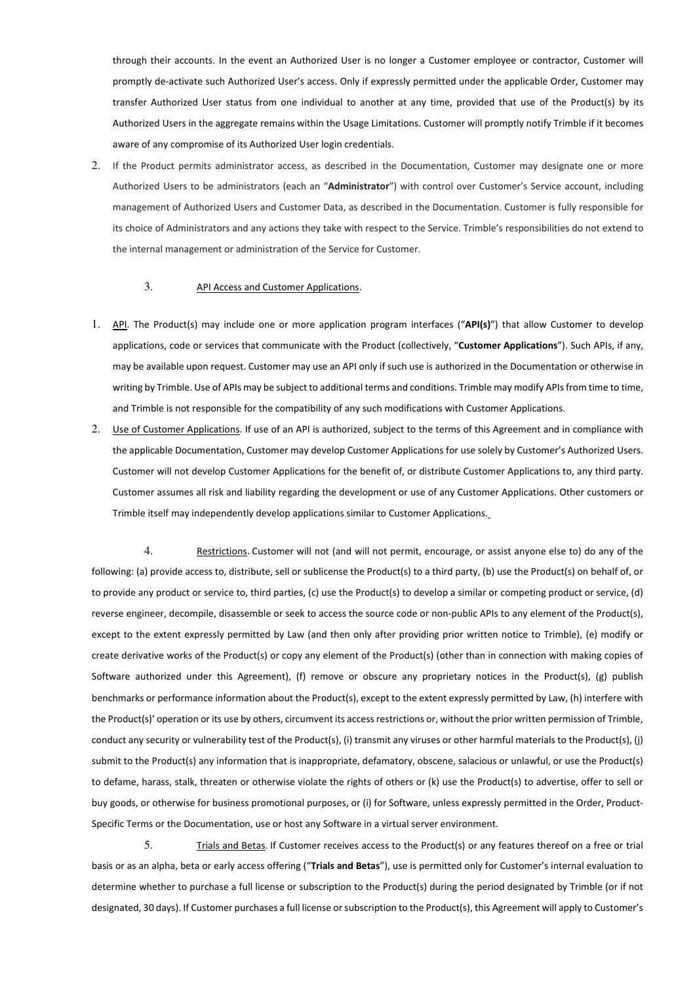through their accounts. In the event an Authorized User is no longer a Customer employee or contractor, Customer will promptly de-activate such Authorized User's access. Only if expressly permitted under the applicable Order, Customer may transfer Authorized User status from one individual to another at any time, provided that use of the Product(s) by its Authorized Users in the aggregate remains within the Usage Limitations. Customer will promptly notify Trimble if it becomes aware of any compromise of its Authorized User login credentials.

2. If the Product permits administrator access, as described in the Documentation, Customer may designate one or more Authorized Users to be administrators (each an "**Administrator**") with control over Customer's Service account, including management of Authorized Users and Customer Data, as described in the Documentation. Customer is fully responsible for its choice of Administrators and any actions they take with respect to the Service. Trimble's responsibilities do not extend to the internal management or administration of the Service for Customer.

### 3. API Access and Customer Applications.

- 1. API. The Product(s) may include one or more application program interfaces ("**API(s)**") that allow Customer to develop applications, code or services that communicate with the Product (collectively, "**Customer Applications**"). Such APIs, if any, may be available upon request. Customer may use an API only if such use is authorized in the Documentation or otherwise in writing by Trimble. Use of APIs may be subject to additional terms and conditions. Trimble may modify APIs from time to time, and Trimble is not responsible for the compatibility of any such modifications with Customer Applications.
- 2. Use of Customer Applications. If use of an API is authorized, subject to the terms of this Agreement and in compliance with the applicable Documentation, Customer may develop Customer Applications for use solely by Customer's Authorized Users. Customer will not develop Customer Applications for the benefit of, or distribute Customer Applications to, any third party. Customer assumes all risk and liability regarding the development or use of any Customer Applications. Other customers or Trimble itself may independently develop applications similar to Customer Applications.

4. Restrictions. Customer will not (and will not permit, encourage, or assist anyone else to) do any of the following: (a) provide access to, distribute, sell or sublicense the Product(s) to a third party, (b) use the Product(s) on behalf of, or to provide any product or service to, third parties, (c) use the Product(s) to develop a similar or competing product or service, (d) reverse engineer, decompile, disassemble or seek to access the source code or non-public APIs to any element of the Product(s), except to the extent expressly permitted by Law (and then only after providing prior written notice to Trimble), (e) modify or create derivative works of the Product(s) or copy any element of the Product(s) (other than in connection with making copies of Software authorized under this Agreement), (f) remove or obscure any proprietary notices in the Product(s), (g) publish benchmarks or performance information about the Product(s), except to the extent expressly permitted by Law, (h) interfere with the Product(s)' operation or its use by others, circumvent its access restrictions or, without the prior written permission of Trimble, conduct any security or vulnerability test of the Product(s), (i) transmit any viruses or other harmful materials to the Product(s), (j) submit to the Product(s) any information that is inappropriate, defamatory, obscene, salacious or unlawful, or use the Product(s) to defame, harass, stalk, threaten or otherwise violate the rights of others or (k) use the Product(s) to advertise, offer to sell or buy goods, or otherwise for business promotional purposes, or (i) for Software, unless expressly permitted in the Order, Product-Specific Terms or the Documentation, use or host any Software in a virtual server environment.

5. Trials and Betas. If Customer receives access to the Product(s) or any features thereof on a free or trial basis or as an alpha, beta or early access offering ("**Trials and Betas**"), use is permitted only for Customer's internal evaluation to determine whether to purchase a full license or subscription to the Product(s) during the period designated by Trimble (or if not designated, 30 days). If Customer purchases a full license or subscription to the Product(s), this Agreement will apply to Customer's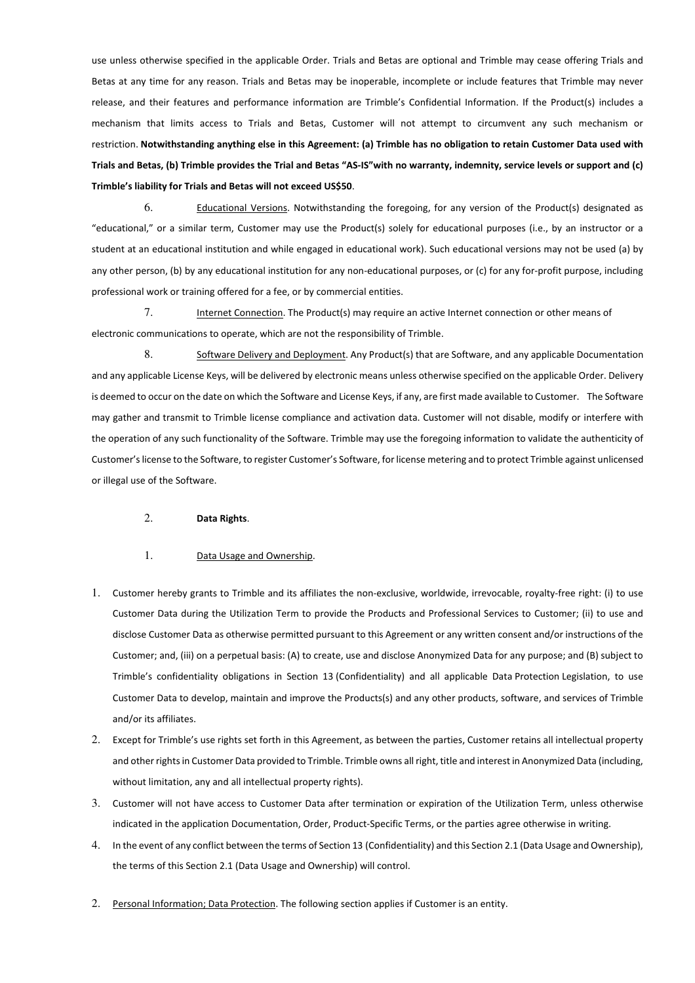use unless otherwise specified in the applicable Order. Trials and Betas are optional and Trimble may cease offering Trials and Betas at any time for any reason. Trials and Betas may be inoperable, incomplete or include features that Trimble may never release, and their features and performance information are Trimble's Confidential Information. If the Product(s) includes a mechanism that limits access to Trials and Betas, Customer will not attempt to circumvent any such mechanism or restriction. **Notwithstanding anything else in this Agreement: (a) Trimble has no obligation to retain Customer Data used with Trials and Betas, (b) Trimble provides the Trial and Betas "AS-IS"with no warranty, indemnity, service levels or support and (c) Trimble's liability for Trials and Betas will not exceed US\$50**.

6. Educational Versions. Notwithstanding the foregoing, for any version of the Product(s) designated as "educational," or a similar term, Customer may use the Product(s) solely for educational purposes (i.e., by an instructor or a student at an educational institution and while engaged in educational work). Such educational versions may not be used (a) by any other person, (b) by any educational institution for any non-educational purposes, or (c) for any for-profit purpose, including professional work or training offered for a fee, or by commercial entities.

7. Internet Connection. The Product(s) may require an active Internet connection or other means of electronic communications to operate, which are not the responsibility of Trimble.

8. Software Delivery and Deployment. Any Product(s) that are Software, and any applicable Documentation and any applicable License Keys, will be delivered by electronic means unless otherwise specified on the applicable Order. Delivery is deemed to occur on the date on which the Software and License Keys, if any, are first made available to Customer. The Software may gather and transmit to Trimble license compliance and activation data. Customer will not disable, modify or interfere with the operation of any such functionality of the Software. Trimble may use the foregoing information to validate the authenticity of Customer's license to the Software, to register Customer's Software, for license metering and to protect Trimble against unlicensed or illegal use of the Software.

### 2. **Data Rights**.

## 1. Data Usage and Ownership.

- 1. Customer hereby grants to Trimble and its affiliates the non-exclusive, worldwide, irrevocable, royalty-free right: (i) to use Customer Data during the Utilization Term to provide the Products and Professional Services to Customer; (ii) to use and disclose Customer Data as otherwise permitted pursuant to this Agreement or any written consent and/or instructions of the Customer; and, (iii) on a perpetual basis: (A) to create, use and disclose Anonymized Data for any purpose; and (B) subject to Trimble's confidentiality obligations in Section 13 (Confidentiality) and all applicable Data Protection Legislation, to use Customer Data to develop, maintain and improve the Products(s) and any other products, software, and services of Trimble and/or its affiliates.
- 2. Except for Trimble's use rights set forth in this Agreement, as between the parties, Customer retains all intellectual property and other rights in Customer Data provided to Trimble. Trimble owns all right, title and interest in Anonymized Data (including, without limitation, any and all intellectual property rights).
- 3. Customer will not have access to Customer Data after termination or expiration of the Utilization Term, unless otherwise indicated in the application Documentation, Order, Product-Specific Terms, or the parties agree otherwise in writing.
- 4. In the event of any conflict between the terms of Section 13 (Confidentiality) and this Section 2.1 (Data Usage and Ownership), the terms of this Section 2.1 (Data Usage and Ownership) will control.
- 2. Personal Information; Data Protection. The following section applies if Customer is an entity.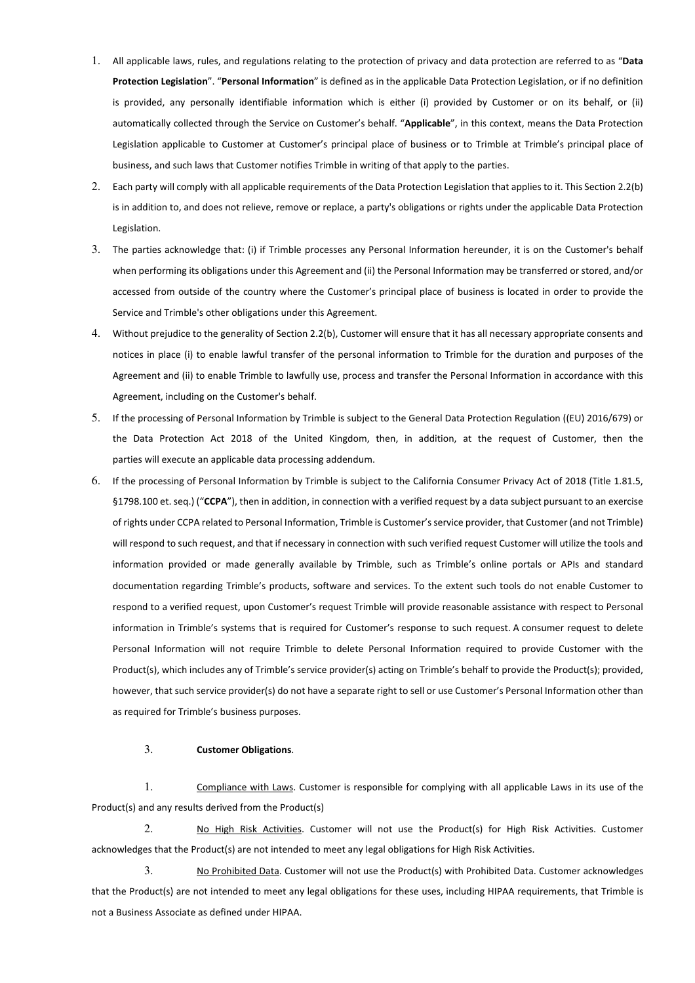- 1. All applicable laws, rules, and regulations relating to the protection of privacy and data protection are referred to as "**Data Protection Legislation**". "**Personal Information**" is defined as in the applicable Data Protection Legislation, or if no definition is provided, any personally identifiable information which is either (i) provided by Customer or on its behalf, or (ii) automatically collected through the Service on Customer's behalf. "**Applicable**", in this context, means the Data Protection Legislation applicable to Customer at Customer's principal place of business or to Trimble at Trimble's principal place of business, and such laws that Customer notifies Trimble in writing of that apply to the parties.
- 2. Each party will comply with all applicable requirements of the Data Protection Legislation that applies to it. This Section 2.2(b) is in addition to, and does not relieve, remove or replace, a party's obligations or rights under the applicable Data Protection Legislation.
- 3. The parties acknowledge that: (i) if Trimble processes any Personal Information hereunder, it is on the Customer's behalf when performing its obligations under this Agreement and (ii) the Personal Information may be transferred or stored, and/or accessed from outside of the country where the Customer's principal place of business is located in order to provide the Service and Trimble's other obligations under this Agreement.
- 4. Without prejudice to the generality of Section 2.2(b), Customer will ensure that it has all necessary appropriate consents and notices in place (i) to enable lawful transfer of the personal information to Trimble for the duration and purposes of the Agreement and (ii) to enable Trimble to lawfully use, process and transfer the Personal Information in accordance with this Agreement, including on the Customer's behalf.
- 5. If the processing of Personal Information by Trimble is subject to the General Data Protection Regulation ((EU) 2016/679) or the Data Protection Act 2018 of the United Kingdom, then, in addition, at the request of Customer, then the parties will execute an applicable data processing addendum.
- 6. If the processing of Personal Information by Trimble is subject to the California Consumer Privacy Act of 2018 (Title 1.81.5, §1798.100 et. seq.) ("**CCPA**"), then in addition, in connection with a verified request by a data subject pursuant to an exercise of rights under CCPA related to Personal Information, Trimble is Customer's service provider, that Customer (and not Trimble) will respond to such request, and that if necessary in connection with such verified request Customer will utilize the tools and information provided or made generally available by Trimble, such as Trimble's online portals or APIs and standard documentation regarding Trimble's products, software and services. To the extent such tools do not enable Customer to respond to a verified request, upon Customer's request Trimble will provide reasonable assistance with respect to Personal information in Trimble's systems that is required for Customer's response to such request. A consumer request to delete Personal Information will not require Trimble to delete Personal Information required to provide Customer with the Product(s), which includes any of Trimble's service provider(s) acting on Trimble's behalf to provide the Product(s); provided, however, that such service provider(s) do not have a separate right to sell or use Customer's Personal Information other than as required for Trimble's business purposes.

## 3. **Customer Obligations**.

1. Compliance with Laws. Customer is responsible for complying with all applicable Laws in its use of the Product(s) and any results derived from the Product(s)

2. No High Risk Activities. Customer will not use the Product(s) for High Risk Activities. Customer acknowledges that the Product(s) are not intended to meet any legal obligations for High Risk Activities.

3. No Prohibited Data. Customer will not use the Product(s) with Prohibited Data. Customer acknowledges that the Product(s) are not intended to meet any legal obligations for these uses, including HIPAA requirements, that Trimble is not a Business Associate as defined under HIPAA.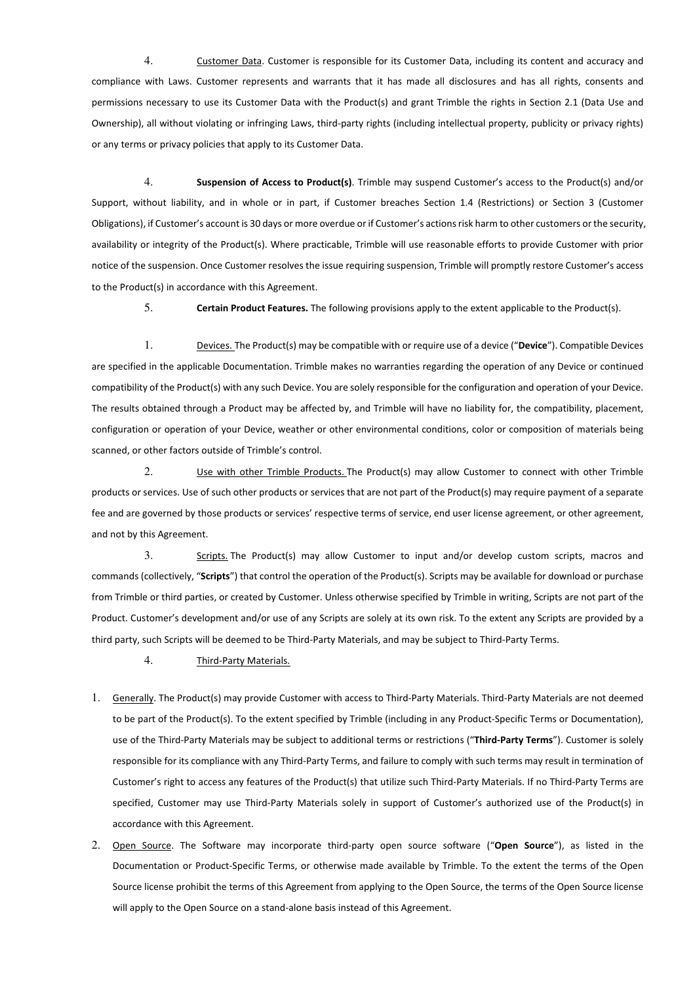4. Customer Data. Customer is responsible for its Customer Data, including its content and accuracy and compliance with Laws. Customer represents and warrants that it has made all disclosures and has all rights, consents and permissions necessary to use its Customer Data with the Product(s) and grant Trimble the rights in Section 2.1 (Data Use and Ownership), all without violating or infringing Laws, third-party rights (including intellectual property, publicity or privacy rights) or any terms or privacy policies that apply to its Customer Data.

4. **Suspension of Access to Product(s)**. Trimble may suspend Customer's access to the Product(s) and/or Support, without liability, and in whole or in part, if Customer breaches Section 1.4 (Restrictions) or Section 3 (Customer Obligations), if Customer's account is 30 days or more overdue or if Customer's actions risk harm to other customers or the security, availability or integrity of the Product(s). Where practicable, Trimble will use reasonable efforts to provide Customer with prior notice of the suspension. Once Customer resolves the issue requiring suspension, Trimble will promptly restore Customer's access to the Product(s) in accordance with this Agreement.

5. **Certain Product Features.** The following provisions apply to the extent applicable to the Product(s).

1. Devices. The Product(s) may be compatible with or require use of a device ("**Device**"). Compatible Devices are specified in the applicable Documentation. Trimble makes no warranties regarding the operation of any Device or continued compatibility of the Product(s) with any such Device. You are solely responsible for the configuration and operation of your Device. The results obtained through a Product may be affected by, and Trimble will have no liability for, the compatibility, placement, configuration or operation of your Device, weather or other environmental conditions, color or composition of materials being scanned, or other factors outside of Trimble's control.

2. Use with other Trimble Products. The Product(s) may allow Customer to connect with other Trimble products or services. Use of such other products or services that are not part of the Product(s) may require payment of a separate fee and are governed by those products or services' respective terms of service, end user license agreement, or other agreement, and not by this Agreement.

3. Scripts. The Product(s) may allow Customer to input and/or develop custom scripts, macros and commands (collectively, "**Scripts**") that control the operation of the Product(s). Scripts may be available for download or purchase from Trimble or third parties, or created by Customer. Unless otherwise specified by Trimble in writing, Scripts are not part of the Product. Customer's development and/or use of any Scripts are solely at its own risk. To the extent any Scripts are provided by a third party, such Scripts will be deemed to be Third-Party Materials, and may be subject to Third-Party Terms.

4. Third-Party Materials.

- 1. Generally. The Product(s) may provide Customer with access to Third-Party Materials. Third-Party Materials are not deemed to be part of the Product(s). To the extent specified by Trimble (including in any Product-Specific Terms or Documentation), use of the Third-Party Materials may be subject to additional terms or restrictions ("**Third-Party Terms**"). Customer is solely responsible for its compliance with any Third-Party Terms, and failure to comply with such terms may result in termination of Customer's right to access any features of the Product(s) that utilize such Third-Party Materials. If no Third-Party Terms are specified, Customer may use Third-Party Materials solely in support of Customer's authorized use of the Product(s) in accordance with this Agreement.
- 2. Open Source. The Software may incorporate third-party open source software ("**Open Source**"), as listed in the Documentation or Product-Specific Terms, or otherwise made available by Trimble. To the extent the terms of the Open Source license prohibit the terms of this Agreement from applying to the Open Source, the terms of the Open Source license will apply to the Open Source on a stand-alone basis instead of this Agreement.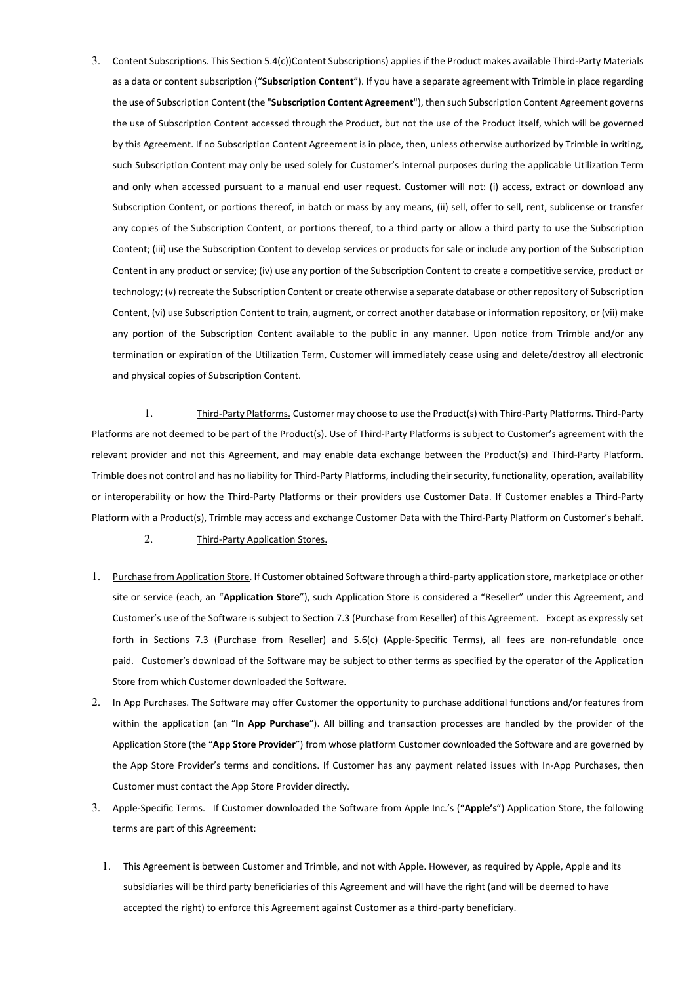3. Content Subscriptions. This Section 5.4(c))Content Subscriptions) applies if the Product makes available Third-Party Materials as a data or content subscription ("**Subscription Content**"). If you have a separate agreement with Trimble in place regarding the use of Subscription Content (the "**Subscription Content Agreement**"), then such Subscription Content Agreement governs the use of Subscription Content accessed through the Product, but not the use of the Product itself, which will be governed by this Agreement. If no Subscription Content Agreement is in place, then, unless otherwise authorized by Trimble in writing, such Subscription Content may only be used solely for Customer's internal purposes during the applicable Utilization Term and only when accessed pursuant to a manual end user request. Customer will not: (i) access, extract or download any Subscription Content, or portions thereof, in batch or mass by any means, (ii) sell, offer to sell, rent, sublicense or transfer any copies of the Subscription Content, or portions thereof, to a third party or allow a third party to use the Subscription Content; (iii) use the Subscription Content to develop services or products for sale or include any portion of the Subscription Content in any product or service; (iv) use any portion of the Subscription Content to create a competitive service, product or technology; (v) recreate the Subscription Content or create otherwise a separate database or other repository of Subscription Content, (vi) use Subscription Content to train, augment, or correct another database or information repository, or (vii) make any portion of the Subscription Content available to the public in any manner. Upon notice from Trimble and/or any termination or expiration of the Utilization Term, Customer will immediately cease using and delete/destroy all electronic and physical copies of Subscription Content.

1. Third-Party Platforms. Customer may choose to use the Product(s) with Third-Party Platforms. Third-Party Platforms are not deemed to be part of the Product(s). Use of Third-Party Platforms is subject to Customer's agreement with the relevant provider and not this Agreement, and may enable data exchange between the Product(s) and Third-Party Platform. Trimble does not control and has no liability for Third-Party Platforms, including their security, functionality, operation, availability or interoperability or how the Third-Party Platforms or their providers use Customer Data. If Customer enables a Third-Party Platform with a Product(s), Trimble may access and exchange Customer Data with the Third-Party Platform on Customer's behalf.

- 2. Third-Party Application Stores.
- 1. Purchase from Application Store. If Customer obtained Software through a third-party application store, marketplace or other site or service (each, an "**Application Store**"), such Application Store is considered a "Reseller" under this Agreement, and Customer's use of the Software is subject to Section 7.3 (Purchase from Reseller) of this Agreement. Except as expressly set forth in Sections 7.3 (Purchase from Reseller) and 5.6(c) (Apple-Specific Terms), all fees are non-refundable once paid. Customer's download of the Software may be subject to other terms as specified by the operator of the Application Store from which Customer downloaded the Software.
- 2. In App Purchases. The Software may offer Customer the opportunity to purchase additional functions and/or features from within the application (an "**In App Purchase**"). All billing and transaction processes are handled by the provider of the Application Store (the "**App Store Provider**") from whose platform Customer downloaded the Software and are governed by the App Store Provider's terms and conditions. If Customer has any payment related issues with In-App Purchases, then Customer must contact the App Store Provider directly.
- 3. Apple-Specific Terms. If Customer downloaded the Software from Apple Inc.'s ("**Apple's**") Application Store, the following terms are part of this Agreement:
	- 1. This Agreement is between Customer and Trimble, and not with Apple. However, as required by Apple, Apple and its subsidiaries will be third party beneficiaries of this Agreement and will have the right (and will be deemed to have accepted the right) to enforce this Agreement against Customer as a third-party beneficiary.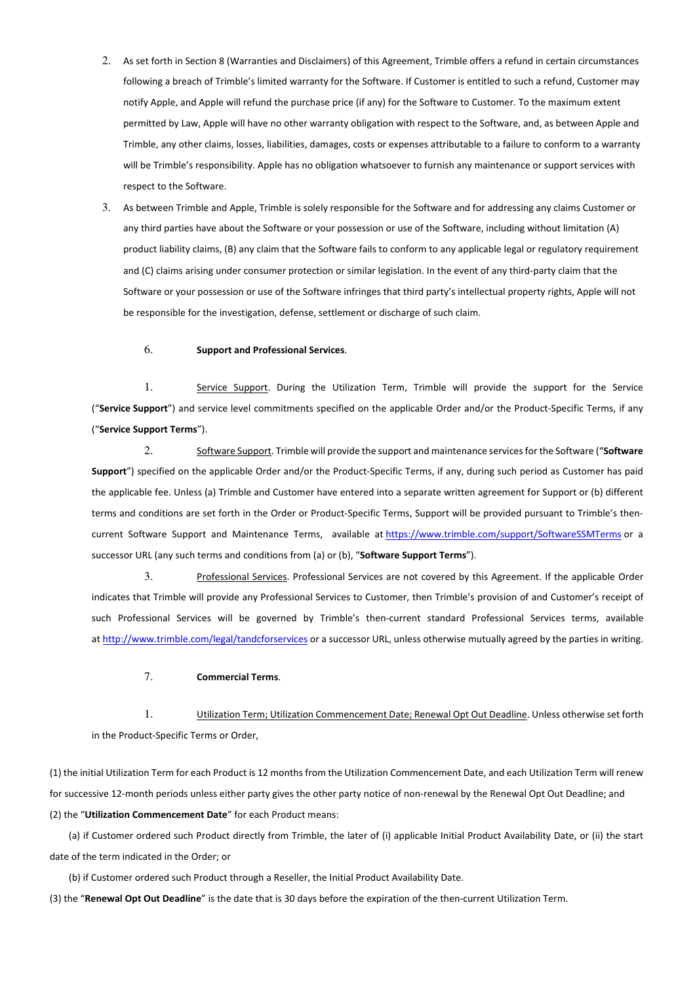- 2. As set forth in Section 8 (Warranties and Disclaimers) of this Agreement, Trimble offers a refund in certain circumstances following a breach of Trimble's limited warranty for the Software. If Customer is entitled to such a refund, Customer may notify Apple, and Apple will refund the purchase price (if any) for the Software to Customer. To the maximum extent permitted by Law, Apple will have no other warranty obligation with respect to the Software, and, as between Apple and Trimble, any other claims, losses, liabilities, damages, costs or expenses attributable to a failure to conform to a warranty will be Trimble's responsibility. Apple has no obligation whatsoever to furnish any maintenance or support services with respect to the Software.
- 3. As between Trimble and Apple, Trimble is solely responsible for the Software and for addressing any claims Customer or any third parties have about the Software or your possession or use of the Software, including without limitation (A) product liability claims, (B) any claim that the Software fails to conform to any applicable legal or regulatory requirement and (C) claims arising under consumer protection or similar legislation. In the event of any third-party claim that the Software or your possession or use of the Software infringes that third party's intellectual property rights, Apple will not be responsible for the investigation, defense, settlement or discharge of such claim.

#### 6. **Support and Professional Services**.

1. Service Support. During the Utilization Term, Trimble will provide the support for the Service ("**Service Support**") and service level commitments specified on the applicable Order and/or the Product-Specific Terms, if any ("**Service Support Terms**").

2. Software Support. Trimble will provide the support and maintenance services for the Software ("**Software Support**") specified on the applicable Order and/or the Product-Specific Terms, if any, during such period as Customer has paid the applicable fee. Unless (a) Trimble and Customer have entered into a separate written agreement for Support or (b) different terms and conditions are set forth in the Order or Product-Specific Terms, Support will be provided pursuant to Trimble's thencurrent Software Support and Maintenance Terms, available at https://www.trimble.com/support/SoftwareSSMTerms or a successor URL (any such terms and conditions from (a) or (b), "**Software Support Terms**").

3. Professional Services. Professional Services are not covered by this Agreement. If the applicable Order indicates that Trimble will provide any Professional Services to Customer, then Trimble's provision of and Customer's receipt of such Professional Services will be governed by Trimble's then-current standard Professional Services terms, available at http://www.trimble.com/legal/tandcforservices or a successor URL, unless otherwise mutually agreed by the parties in writing.

#### 7. **Commercial Terms**.

1. Utilization Term; Utilization Commencement Date; Renewal Opt Out Deadline. Unless otherwise set forth in the Product-Specific Terms or Order,

(1) the initial Utilization Term for each Product is 12 months from the Utilization Commencement Date, and each Utilization Term will renew for successive 12-month periods unless either party gives the other party notice of non-renewal by the Renewal Opt Out Deadline; and (2) the "**Utilization Commencement Date**" for each Product means:

 (a) if Customer ordered such Product directly from Trimble, the later of (i) applicable Initial Product Availability Date, or (ii) the start date of the term indicated in the Order; or

(b) if Customer ordered such Product through a Reseller, the Initial Product Availability Date.

(3) the "**Renewal Opt Out Deadline**" is the date that is 30 days before the expiration of the then-current Utilization Term.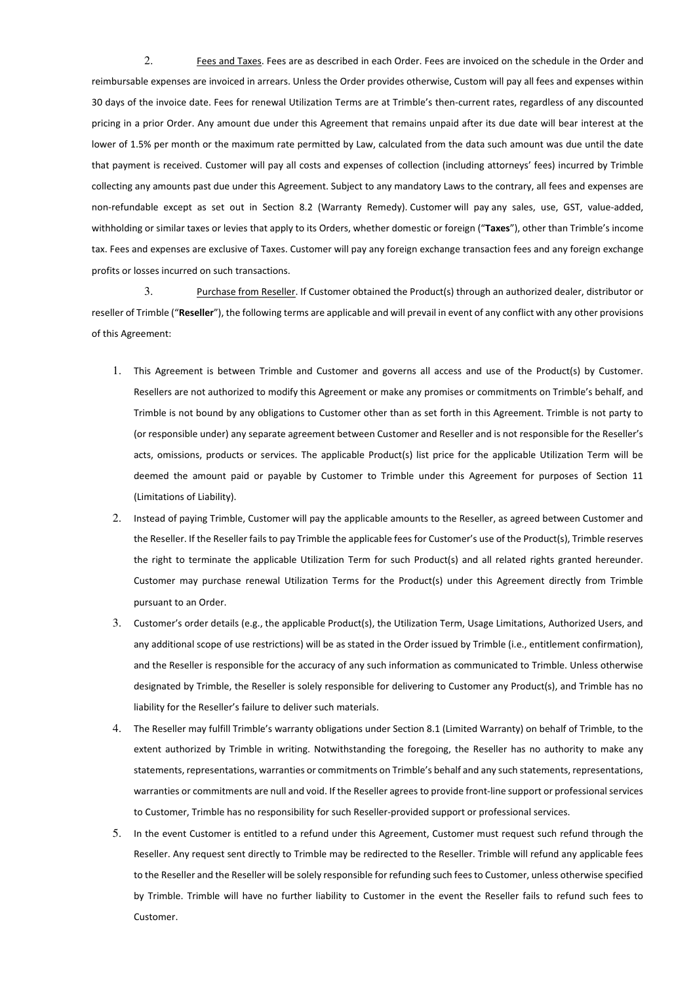2. Fees and Taxes. Fees are as described in each Order. Fees are invoiced on the schedule in the Order and reimbursable expenses are invoiced in arrears. Unless the Order provides otherwise, Custom will pay all fees and expenses within 30 days of the invoice date. Fees for renewal Utilization Terms are at Trimble's then-current rates, regardless of any discounted pricing in a prior Order. Any amount due under this Agreement that remains unpaid after its due date will bear interest at the lower of 1.5% per month or the maximum rate permitted by Law, calculated from the data such amount was due until the date that payment is received. Customer will pay all costs and expenses of collection (including attorneys' fees) incurred by Trimble collecting any amounts past due under this Agreement. Subject to any mandatory Laws to the contrary, all fees and expenses are non-refundable except as set out in Section 8.2 (Warranty Remedy). Customer will pay any sales, use, GST, value-added, withholding or similar taxes or levies that apply to its Orders, whether domestic or foreign ("**Taxes**"), other than Trimble's income tax. Fees and expenses are exclusive of Taxes. Customer will pay any foreign exchange transaction fees and any foreign exchange profits or losses incurred on such transactions.

3. Purchase from Reseller. If Customer obtained the Product(s) through an authorized dealer, distributor or reseller of Trimble ("**Reseller**"), the following terms are applicable and will prevail in event of any conflict with any other provisions of this Agreement:

- 1. This Agreement is between Trimble and Customer and governs all access and use of the Product(s) by Customer. Resellers are not authorized to modify this Agreement or make any promises or commitments on Trimble's behalf, and Trimble is not bound by any obligations to Customer other than as set forth in this Agreement. Trimble is not party to (or responsible under) any separate agreement between Customer and Reseller and is not responsible for the Reseller's acts, omissions, products or services. The applicable Product(s) list price for the applicable Utilization Term will be deemed the amount paid or payable by Customer to Trimble under this Agreement for purposes of Section 11 (Limitations of Liability).
- 2. Instead of paying Trimble, Customer will pay the applicable amounts to the Reseller, as agreed between Customer and the Reseller. If the Reseller fails to pay Trimble the applicable fees for Customer's use of the Product(s), Trimble reserves the right to terminate the applicable Utilization Term for such Product(s) and all related rights granted hereunder. Customer may purchase renewal Utilization Terms for the Product(s) under this Agreement directly from Trimble pursuant to an Order.
- 3. Customer's order details (e.g., the applicable Product(s), the Utilization Term, Usage Limitations, Authorized Users, and any additional scope of use restrictions) will be as stated in the Order issued by Trimble (i.e., entitlement confirmation), and the Reseller is responsible for the accuracy of any such information as communicated to Trimble. Unless otherwise designated by Trimble, the Reseller is solely responsible for delivering to Customer any Product(s), and Trimble has no liability for the Reseller's failure to deliver such materials.
- 4. The Reseller may fulfill Trimble's warranty obligations under Section 8.1 (Limited Warranty) on behalf of Trimble, to the extent authorized by Trimble in writing. Notwithstanding the foregoing, the Reseller has no authority to make any statements, representations, warranties or commitments on Trimble's behalf and any such statements, representations, warranties or commitments are null and void. If the Reseller agrees to provide front-line support or professional services to Customer, Trimble has no responsibility for such Reseller-provided support or professional services.
- 5. In the event Customer is entitled to a refund under this Agreement, Customer must request such refund through the Reseller. Any request sent directly to Trimble may be redirected to the Reseller. Trimble will refund any applicable fees to the Reseller and the Reseller will be solely responsible for refunding such fees to Customer, unless otherwise specified by Trimble. Trimble will have no further liability to Customer in the event the Reseller fails to refund such fees to Customer.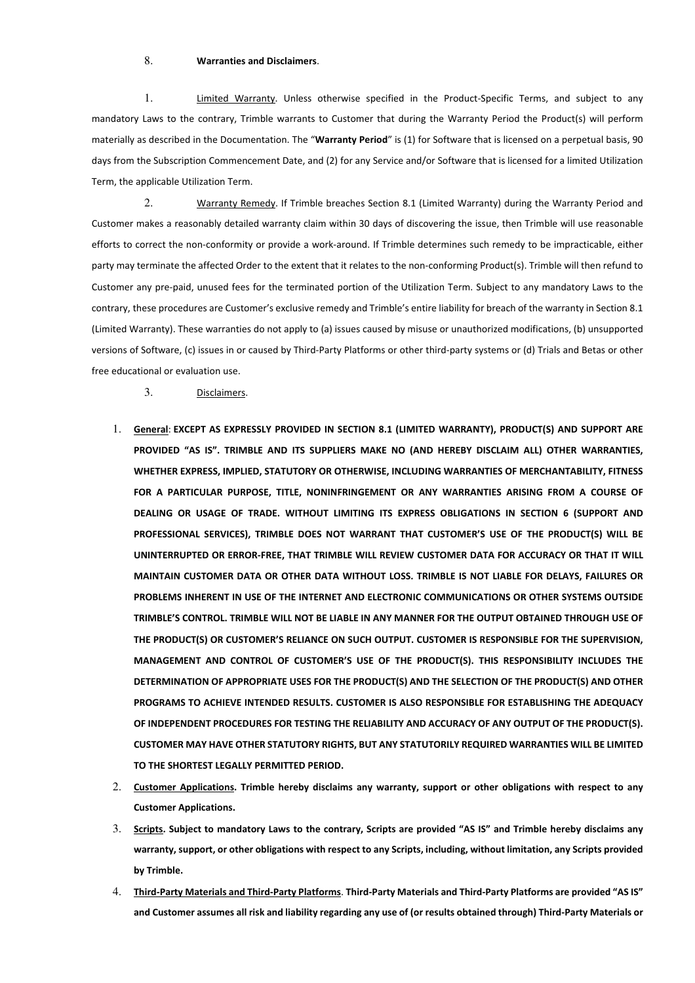## 8. **Warranties and Disclaimers**.

1. Limited Warranty. Unless otherwise specified in the Product-Specific Terms, and subject to any mandatory Laws to the contrary, Trimble warrants to Customer that during the Warranty Period the Product(s) will perform materially as described in the Documentation. The "**Warranty Period**" is (1) for Software that is licensed on a perpetual basis, 90 days from the Subscription Commencement Date, and (2) for any Service and/or Software that is licensed for a limited Utilization Term, the applicable Utilization Term.

2. Warranty Remedy. If Trimble breaches Section 8.1 (Limited Warranty) during the Warranty Period and Customer makes a reasonably detailed warranty claim within 30 days of discovering the issue, then Trimble will use reasonable efforts to correct the non-conformity or provide a work-around. If Trimble determines such remedy to be impracticable, either party may terminate the affected Order to the extent that it relates to the non-conforming Product(s). Trimble will then refund to Customer any pre-paid, unused fees for the terminated portion of the Utilization Term. Subject to any mandatory Laws to the contrary, these procedures are Customer's exclusive remedy and Trimble's entire liability for breach of the warranty in Section 8.1 (Limited Warranty). These warranties do not apply to (a) issues caused by misuse or unauthorized modifications, (b) unsupported versions of Software, (c) issues in or caused by Third-Party Platforms or other third-party systems or (d) Trials and Betas or other free educational or evaluation use.

3. Disclaimers.

- 1. **General**: **EXCEPT AS EXPRESSLY PROVIDED IN SECTION 8.1 (LIMITED WARRANTY), PRODUCT(S) AND SUPPORT ARE PROVIDED "AS IS". TRIMBLE AND ITS SUPPLIERS MAKE NO (AND HEREBY DISCLAIM ALL) OTHER WARRANTIES, WHETHER EXPRESS, IMPLIED, STATUTORY OR OTHERWISE, INCLUDING WARRANTIES OF MERCHANTABILITY, FITNESS FOR A PARTICULAR PURPOSE, TITLE, NONINFRINGEMENT OR ANY WARRANTIES ARISING FROM A COURSE OF DEALING OR USAGE OF TRADE. WITHOUT LIMITING ITS EXPRESS OBLIGATIONS IN SECTION 6 (SUPPORT AND PROFESSIONAL SERVICES), TRIMBLE DOES NOT WARRANT THAT CUSTOMER'S USE OF THE PRODUCT(S) WILL BE UNINTERRUPTED OR ERROR-FREE, THAT TRIMBLE WILL REVIEW CUSTOMER DATA FOR ACCURACY OR THAT IT WILL MAINTAIN CUSTOMER DATA OR OTHER DATA WITHOUT LOSS. TRIMBLE IS NOT LIABLE FOR DELAYS, FAILURES OR PROBLEMS INHERENT IN USE OF THE INTERNET AND ELECTRONIC COMMUNICATIONS OR OTHER SYSTEMS OUTSIDE TRIMBLE'S CONTROL. TRIMBLE WILL NOT BE LIABLE IN ANY MANNER FOR THE OUTPUT OBTAINED THROUGH USE OF THE PRODUCT(S) OR CUSTOMER'S RELIANCE ON SUCH OUTPUT. CUSTOMER IS RESPONSIBLE FOR THE SUPERVISION, MANAGEMENT AND CONTROL OF CUSTOMER'S USE OF THE PRODUCT(S). THIS RESPONSIBILITY INCLUDES THE DETERMINATION OF APPROPRIATE USES FOR THE PRODUCT(S) AND THE SELECTION OF THE PRODUCT(S) AND OTHER PROGRAMS TO ACHIEVE INTENDED RESULTS. CUSTOMER IS ALSO RESPONSIBLE FOR ESTABLISHING THE ADEQUACY OF INDEPENDENT PROCEDURES FOR TESTING THE RELIABILITY AND ACCURACY OF ANY OUTPUT OF THE PRODUCT(S). CUSTOMER MAY HAVE OTHER STATUTORY RIGHTS, BUT ANY STATUTORILY REQUIRED WARRANTIES WILL BE LIMITED TO THE SHORTEST LEGALLY PERMITTED PERIOD.**
- 2. **Customer Applications. Trimble hereby disclaims any warranty, support or other obligations with respect to any Customer Applications.**
- 3. **Scripts. Subject to mandatory Laws to the contrary, Scripts are provided "AS IS" and Trimble hereby disclaims any warranty, support, or other obligations with respect to any Scripts, including, without limitation, any Scripts provided by Trimble.**
- 4. **Third-Party Materials and Third-Party Platforms**. **Third-Party Materials and Third-Party Platforms are provided "AS IS" and Customer assumes all risk and liability regarding any use of (or results obtained through) Third-Party Materials or**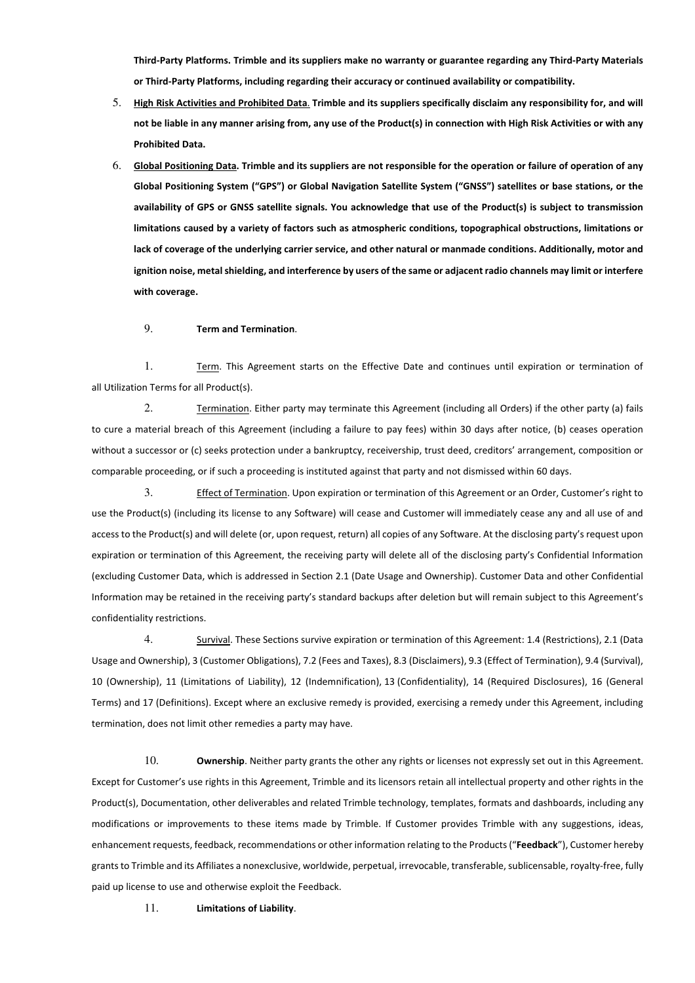**Third-Party Platforms. Trimble and its suppliers make no warranty or guarantee regarding any Third-Party Materials or Third-Party Platforms, including regarding their accuracy or continued availability or compatibility.**

- 5. **High Risk Activities and Prohibited Data**. **Trimble and its suppliers specifically disclaim any responsibility for, and will not be liable in any manner arising from, any use of the Product(s) in connection with High Risk Activities or with any Prohibited Data.**
- 6. **Global Positioning Data. Trimble and its suppliers are not responsible for the operation or failure of operation of any Global Positioning System ("GPS") or Global Navigation Satellite System ("GNSS") satellites or base stations, or the availability of GPS or GNSS satellite signals. You acknowledge that use of the Product(s) is subject to transmission limitations caused by a variety of factors such as atmospheric conditions, topographical obstructions, limitations or lack of coverage of the underlying carrier service, and other natural or manmade conditions. Additionally, motor and ignition noise, metal shielding, and interference by users of the same or adjacent radio channels may limit or interfere with coverage.**

## 9. **Term and Termination**.

1. Term. This Agreement starts on the Effective Date and continues until expiration or termination of all Utilization Terms for all Product(s).

2. Termination. Either party may terminate this Agreement (including all Orders) if the other party (a) fails to cure a material breach of this Agreement (including a failure to pay fees) within 30 days after notice, (b) ceases operation without a successor or (c) seeks protection under a bankruptcy, receivership, trust deed, creditors' arrangement, composition or comparable proceeding, or if such a proceeding is instituted against that party and not dismissed within 60 days.

3. Effect of Termination. Upon expiration or termination of this Agreement or an Order, Customer's right to use the Product(s) (including its license to any Software) will cease and Customer will immediately cease any and all use of and access to the Product(s) and will delete (or, upon request, return) all copies of any Software. At the disclosing party's request upon expiration or termination of this Agreement, the receiving party will delete all of the disclosing party's Confidential Information (excluding Customer Data, which is addressed in Section 2.1 (Date Usage and Ownership). Customer Data and other Confidential Information may be retained in the receiving party's standard backups after deletion but will remain subject to this Agreement's confidentiality restrictions.

4. Survival. These Sections survive expiration or termination of this Agreement: 1.4 (Restrictions), 2.1 (Data Usage and Ownership), 3 (Customer Obligations), 7.2 (Fees and Taxes), 8.3 (Disclaimers), 9.3 (Effect of Termination), 9.4 (Survival), 10 (Ownership), 11 (Limitations of Liability), 12 (Indemnification), 13 (Confidentiality), 14 (Required Disclosures), 16 (General Terms) and 17 (Definitions). Except where an exclusive remedy is provided, exercising a remedy under this Agreement, including termination, does not limit other remedies a party may have.

10. **Ownership**. Neither party grants the other any rights or licenses not expressly set out in this Agreement. Except for Customer's use rights in this Agreement, Trimble and its licensors retain all intellectual property and other rights in the Product(s), Documentation, other deliverables and related Trimble technology, templates, formats and dashboards, including any modifications or improvements to these items made by Trimble. If Customer provides Trimble with any suggestions, ideas, enhancement requests, feedback, recommendations or other information relating to the Products ("**Feedback**"), Customer hereby grants to Trimble and its Affiliates a nonexclusive, worldwide, perpetual, irrevocable, transferable, sublicensable, royalty-free, fully paid up license to use and otherwise exploit the Feedback.

### 11. **Limitations of Liability**.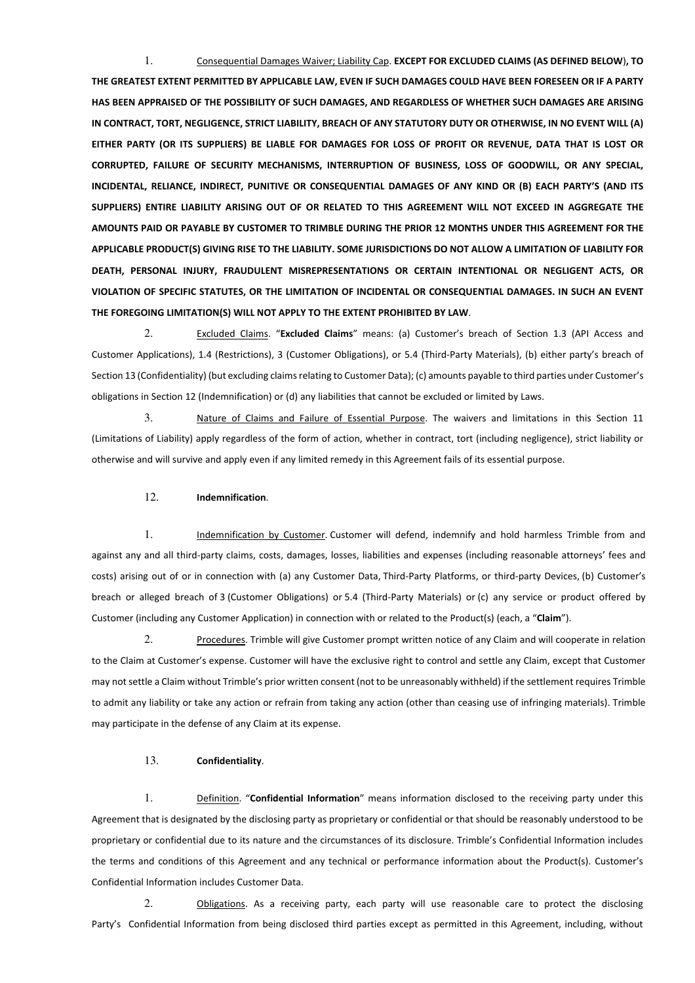1. Consequential Damages Waiver; Liability Cap. **EXCEPT FOR EXCLUDED CLAIMS (AS DEFINED BELOW**)**, TO** 

**THE GREATEST EXTENT PERMITTED BY APPLICABLE LAW, EVEN IF SUCH DAMAGES COULD HAVE BEEN FORESEEN OR IF A PARTY HAS BEEN APPRAISED OF THE POSSIBILITY OF SUCH DAMAGES, AND REGARDLESS OF WHETHER SUCH DAMAGES ARE ARISING IN CONTRACT, TORT, NEGLIGENCE, STRICT LIABILITY, BREACH OF ANY STATUTORY DUTY OR OTHERWISE, IN NO EVENT WILL (A) EITHER PARTY (OR ITS SUPPLIERS) BE LIABLE FOR DAMAGES FOR LOSS OF PROFIT OR REVENUE, DATA THAT IS LOST OR CORRUPTED, FAILURE OF SECURITY MECHANISMS, INTERRUPTION OF BUSINESS, LOSS OF GOODWILL, OR ANY SPECIAL, INCIDENTAL, RELIANCE, INDIRECT, PUNITIVE OR CONSEQUENTIAL DAMAGES OF ANY KIND OR (B) EACH PARTY'S (AND ITS SUPPLIERS) ENTIRE LIABILITY ARISING OUT OF OR RELATED TO THIS AGREEMENT WILL NOT EXCEED IN AGGREGATE THE AMOUNTS PAID OR PAYABLE BY CUSTOMER TO TRIMBLE DURING THE PRIOR 12 MONTHS UNDER THIS AGREEMENT FOR THE APPLICABLE PRODUCT(S) GIVING RISE TO THE LIABILITY. SOME JURISDICTIONS DO NOT ALLOW A LIMITATION OF LIABILITY FOR DEATH, PERSONAL INJURY, FRAUDULENT MISREPRESENTATIONS OR CERTAIN INTENTIONAL OR NEGLIGENT ACTS, OR VIOLATION OF SPECIFIC STATUTES, OR THE LIMITATION OF INCIDENTAL OR CONSEQUENTIAL DAMAGES. IN SUCH AN EVENT THE FOREGOING LIMITATION(S) WILL NOT APPLY TO THE EXTENT PROHIBITED BY LAW**.

2. Excluded Claims. "**Excluded Claims**" means: (a) Customer's breach of Section 1.3 (API Access and Customer Applications), 1.4 (Restrictions), 3 (Customer Obligations), or 5.4 (Third-Party Materials), (b) either party's breach of Section 13 (Confidentiality) (but excluding claims relating to Customer Data); (c) amounts payable to third parties under Customer's obligations in Section 12 (Indemnification) or (d) any liabilities that cannot be excluded or limited by Laws.

3. Nature of Claims and Failure of Essential Purpose. The waivers and limitations in this Section 11 (Limitations of Liability) apply regardless of the form of action, whether in contract, tort (including negligence), strict liability or otherwise and will survive and apply even if any limited remedy in this Agreement fails of its essential purpose.

### 12. **Indemnification**.

1. Indemnification by Customer. Customer will defend, indemnify and hold harmless Trimble from and against any and all third-party claims, costs, damages, losses, liabilities and expenses (including reasonable attorneys' fees and costs) arising out of or in connection with (a) any Customer Data, Third-Party Platforms, or third-party Devices, (b) Customer's breach or alleged breach of 3 (Customer Obligations) or 5.4 (Third-Party Materials) or (c) any service or product offered by Customer (including any Customer Application) in connection with or related to the Product(s) (each, a "**Claim**").

2. Procedures. Trimble will give Customer prompt written notice of any Claim and will cooperate in relation to the Claim at Customer's expense. Customer will have the exclusive right to control and settle any Claim, except that Customer may not settle a Claim without Trimble's prior written consent (not to be unreasonably withheld) if the settlement requires Trimble to admit any liability or take any action or refrain from taking any action (other than ceasing use of infringing materials). Trimble may participate in the defense of any Claim at its expense.

## 13. **Confidentiality**.

1. Definition. "**Confidential Information**" means information disclosed to the receiving party under this Agreement that is designated by the disclosing party as proprietary or confidential or that should be reasonably understood to be proprietary or confidential due to its nature and the circumstances of its disclosure. Trimble's Confidential Information includes the terms and conditions of this Agreement and any technical or performance information about the Product(s). Customer's Confidential Information includes Customer Data.

2. Obligations. As a receiving party, each party will use reasonable care to protect the disclosing Party's Confidential Information from being disclosed third parties except as permitted in this Agreement, including, without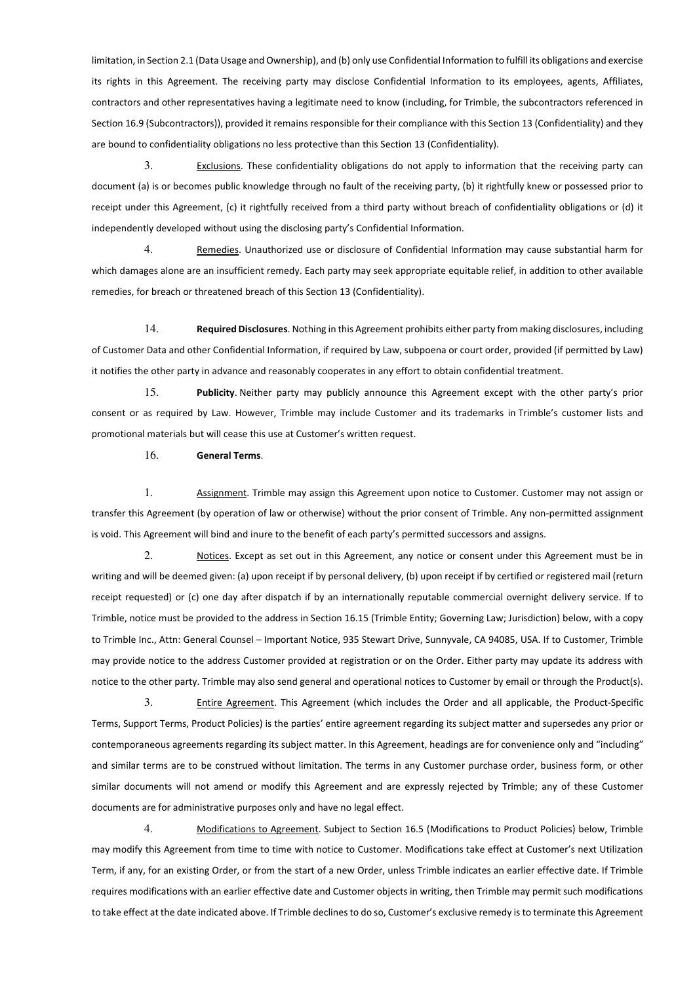limitation, in Section 2.1 (Data Usage and Ownership), and (b) only use Confidential Information to fulfill its obligations and exercise its rights in this Agreement. The receiving party may disclose Confidential Information to its employees, agents, Affiliates, contractors and other representatives having a legitimate need to know (including, for Trimble, the subcontractors referenced in Section 16.9 (Subcontractors)), provided it remains responsible for their compliance with this Section 13 (Confidentiality) and they are bound to confidentiality obligations no less protective than this Section 13 (Confidentiality).

3. Exclusions. These confidentiality obligations do not apply to information that the receiving party can document (a) is or becomes public knowledge through no fault of the receiving party, (b) it rightfully knew or possessed prior to receipt under this Agreement, (c) it rightfully received from a third party without breach of confidentiality obligations or (d) it independently developed without using the disclosing party's Confidential Information.

4. Remedies. Unauthorized use or disclosure of Confidential Information may cause substantial harm for which damages alone are an insufficient remedy. Each party may seek appropriate equitable relief, in addition to other available remedies, for breach or threatened breach of this Section 13 (Confidentiality).

14. **Required Disclosures**. Nothing in this Agreement prohibits either party from making disclosures, including of Customer Data and other Confidential Information, if required by Law, subpoena or court order, provided (if permitted by Law) it notifies the other party in advance and reasonably cooperates in any effort to obtain confidential treatment.

15. **Publicity**. Neither party may publicly announce this Agreement except with the other party's prior consent or as required by Law. However, Trimble may include Customer and its trademarks in Trimble's customer lists and promotional materials but will cease this use at Customer's written request.

16. **General Terms**.

1. Assignment. Trimble may assign this Agreement upon notice to Customer. Customer may not assign or transfer this Agreement (by operation of law or otherwise) without the prior consent of Trimble. Any non-permitted assignment is void. This Agreement will bind and inure to the benefit of each party's permitted successors and assigns.

2. Notices. Except as set out in this Agreement, any notice or consent under this Agreement must be in writing and will be deemed given: (a) upon receipt if by personal delivery, (b) upon receipt if by certified or registered mail (return receipt requested) or (c) one day after dispatch if by an internationally reputable commercial overnight delivery service. If to Trimble, notice must be provided to the address in Section 16.15 (Trimble Entity; Governing Law; Jurisdiction) below, with a copy to Trimble Inc., Attn: General Counsel – Important Notice, 935 Stewart Drive, Sunnyvale, CA 94085, USA. If to Customer, Trimble may provide notice to the address Customer provided at registration or on the Order. Either party may update its address with notice to the other party. Trimble may also send general and operational notices to Customer by email or through the Product(s).

3. Entire Agreement. This Agreement (which includes the Order and all applicable, the Product-Specific Terms, Support Terms, Product Policies) is the parties' entire agreement regarding its subject matter and supersedes any prior or contemporaneous agreements regarding its subject matter. In this Agreement, headings are for convenience only and "including" and similar terms are to be construed without limitation. The terms in any Customer purchase order, business form, or other similar documents will not amend or modify this Agreement and are expressly rejected by Trimble; any of these Customer documents are for administrative purposes only and have no legal effect.

4. Modifications to Agreement. Subject to Section 16.5 (Modifications to Product Policies) below, Trimble may modify this Agreement from time to time with notice to Customer. Modifications take effect at Customer's next Utilization Term, if any, for an existing Order, or from the start of a new Order, unless Trimble indicates an earlier effective date. If Trimble requires modifications with an earlier effective date and Customer objects in writing, then Trimble may permit such modifications to take effect at the date indicated above. If Trimble declines to do so, Customer's exclusive remedy is to terminate this Agreement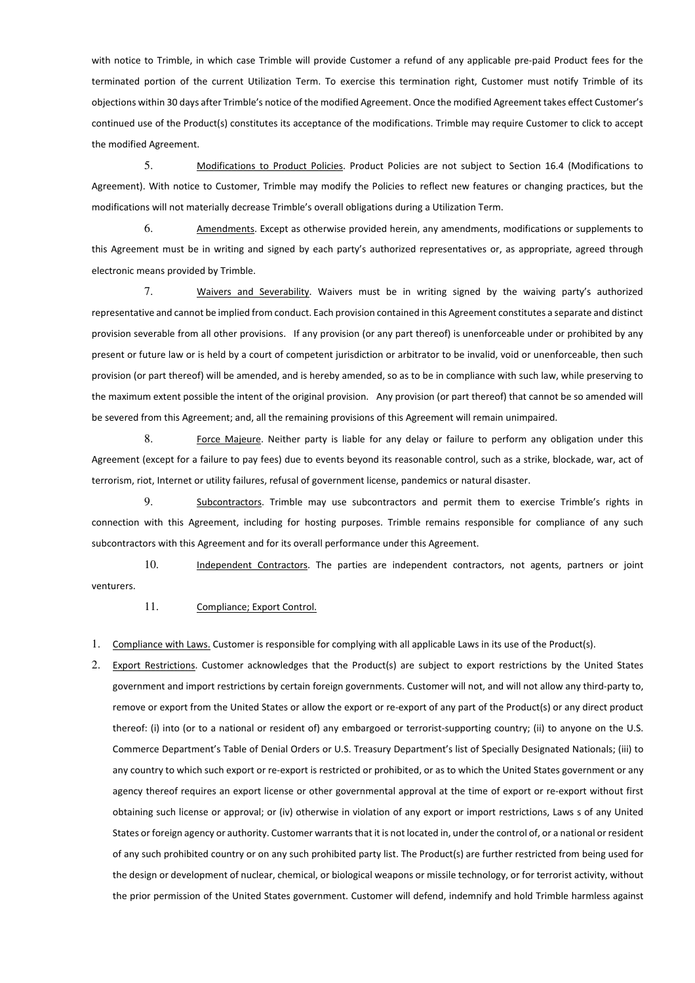with notice to Trimble, in which case Trimble will provide Customer a refund of any applicable pre-paid Product fees for the terminated portion of the current Utilization Term. To exercise this termination right, Customer must notify Trimble of its objections within 30 days after Trimble's notice of the modified Agreement. Once the modified Agreement takes effect Customer's continued use of the Product(s) constitutes its acceptance of the modifications. Trimble may require Customer to click to accept the modified Agreement.

5. Modifications to Product Policies. Product Policies are not subject to Section 16.4 (Modifications to Agreement). With notice to Customer, Trimble may modify the Policies to reflect new features or changing practices, but the modifications will not materially decrease Trimble's overall obligations during a Utilization Term.

6. Amendments. Except as otherwise provided herein, any amendments, modifications or supplements to this Agreement must be in writing and signed by each party's authorized representatives or, as appropriate, agreed through electronic means provided by Trimble.

7. Waivers and Severability. Waivers must be in writing signed by the waiving party's authorized representative and cannot be implied from conduct. Each provision contained in this Agreement constitutes a separate and distinct provision severable from all other provisions. If any provision (or any part thereof) is unenforceable under or prohibited by any present or future law or is held by a court of competent jurisdiction or arbitrator to be invalid, void or unenforceable, then such provision (or part thereof) will be amended, and is hereby amended, so as to be in compliance with such law, while preserving to the maximum extent possible the intent of the original provision. Any provision (or part thereof) that cannot be so amended will be severed from this Agreement; and, all the remaining provisions of this Agreement will remain unimpaired.

8. Force Majeure. Neither party is liable for any delay or failure to perform any obligation under this Agreement (except for a failure to pay fees) due to events beyond its reasonable control, such as a strike, blockade, war, act of terrorism, riot, Internet or utility failures, refusal of government license, pandemics or natural disaster.

9. Subcontractors. Trimble may use subcontractors and permit them to exercise Trimble's rights in connection with this Agreement, including for hosting purposes. Trimble remains responsible for compliance of any such subcontractors with this Agreement and for its overall performance under this Agreement.

10. Independent Contractors. The parties are independent contractors, not agents, partners or joint venturers.

11. Compliance; Export Control.

1. Compliance with Laws. Customer is responsible for complying with all applicable Laws in its use of the Product(s).

2. Export Restrictions. Customer acknowledges that the Product(s) are subject to export restrictions by the United States government and import restrictions by certain foreign governments. Customer will not, and will not allow any third-party to, remove or export from the United States or allow the export or re-export of any part of the Product(s) or any direct product thereof: (i) into (or to a national or resident of) any embargoed or terrorist-supporting country; (ii) to anyone on the U.S. Commerce Department's Table of Denial Orders or U.S. Treasury Department's list of Specially Designated Nationals; (iii) to any country to which such export or re-export is restricted or prohibited, or as to which the United States government or any agency thereof requires an export license or other governmental approval at the time of export or re-export without first obtaining such license or approval; or (iv) otherwise in violation of any export or import restrictions, Laws s of any United States or foreign agency or authority. Customer warrants that it is not located in, under the control of, or a national or resident of any such prohibited country or on any such prohibited party list. The Product(s) are further restricted from being used for the design or development of nuclear, chemical, or biological weapons or missile technology, or for terrorist activity, without the prior permission of the United States government. Customer will defend, indemnify and hold Trimble harmless against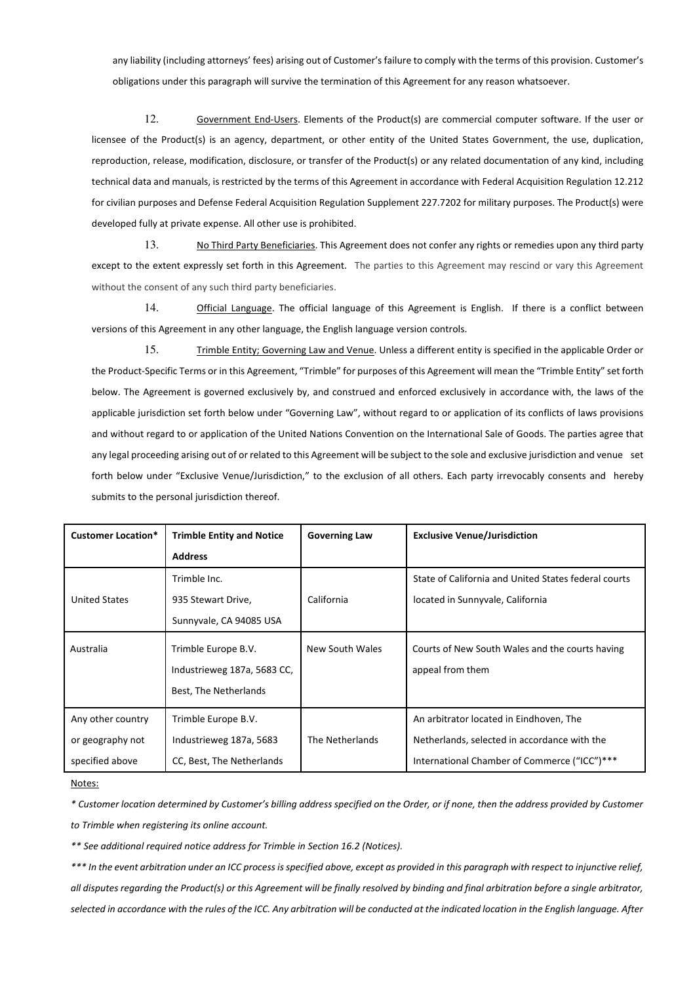any liability (including attorneys' fees) arising out of Customer's failure to comply with the terms of this provision. Customer's obligations under this paragraph will survive the termination of this Agreement for any reason whatsoever.

12. Government End-Users. Elements of the Product(s) are commercial computer software. If the user or licensee of the Product(s) is an agency, department, or other entity of the United States Government, the use, duplication, reproduction, release, modification, disclosure, or transfer of the Product(s) or any related documentation of any kind, including technical data and manuals, is restricted by the terms of this Agreement in accordance with Federal Acquisition Regulation 12.212 for civilian purposes and Defense Federal Acquisition Regulation Supplement 227.7202 for military purposes. The Product(s) were developed fully at private expense. All other use is prohibited.

13. No Third Party Beneficiaries. This Agreement does not confer any rights or remedies upon any third party except to the extent expressly set forth in this Agreement. The parties to this Agreement may rescind or vary this Agreement without the consent of any such third party beneficiaries.

14. Official Language. The official language of this Agreement is English. If there is a conflict between versions of this Agreement in any other language, the English language version controls.

15. Trimble Entity; Governing Law and Venue. Unless a different entity is specified in the applicable Order or the Product-Specific Terms or in this Agreement, "Trimble" for purposes of this Agreement will mean the "Trimble Entity" set forth below. The Agreement is governed exclusively by, and construed and enforced exclusively in accordance with, the laws of the applicable jurisdiction set forth below under "Governing Law", without regard to or application of its conflicts of laws provisions and without regard to or application of the United Nations Convention on the International Sale of Goods. The parties agree that any legal proceeding arising out of or related to this Agreement will be subject to the sole and exclusive jurisdiction and venue set forth below under "Exclusive Venue/Jurisdiction," to the exclusion of all others. Each party irrevocably consents and hereby submits to the personal jurisdiction thereof.

| <b>Customer Location*</b> | <b>Trimble Entity and Notice</b> | <b>Governing Law</b> | <b>Exclusive Venue/Jurisdiction</b>                  |
|---------------------------|----------------------------------|----------------------|------------------------------------------------------|
|                           | <b>Address</b>                   |                      |                                                      |
|                           | Trimble Inc.                     |                      | State of California and United States federal courts |
| <b>United States</b>      | 935 Stewart Drive,               | California           | located in Sunnyvale, California                     |
|                           | Sunnyvale, CA 94085 USA          |                      |                                                      |
| Australia                 | Trimble Europe B.V.              | New South Wales      | Courts of New South Wales and the courts having      |
|                           | Industrieweg 187a, 5683 CC,      |                      | appeal from them                                     |
|                           | Best, The Netherlands            |                      |                                                      |
| Any other country         | Trimble Europe B.V.              |                      | An arbitrator located in Eindhoven, The              |
| or geography not          | Industrieweg 187a, 5683          | The Netherlands      | Netherlands, selected in accordance with the         |
| specified above           | CC, Best, The Netherlands        |                      | International Chamber of Commerce ("ICC")***         |

Notes:

*\* Customer location determined by Customer's billing address specified on the Order, or if none, then the address provided by Customer to Trimble when registering its online account.* 

*\*\* See additional required notice address for Trimble in Section 16.2 (Notices).*

*\*\*\* In the event arbitration under an ICC process is specified above, except as provided in this paragraph with respect to injunctive relief, all disputes regarding the Product(s) or this Agreement will be finally resolved by binding and final arbitration before a single arbitrator, selected in accordance with the rules of the ICC. Any arbitration will be conducted at the indicated location in the English language. After*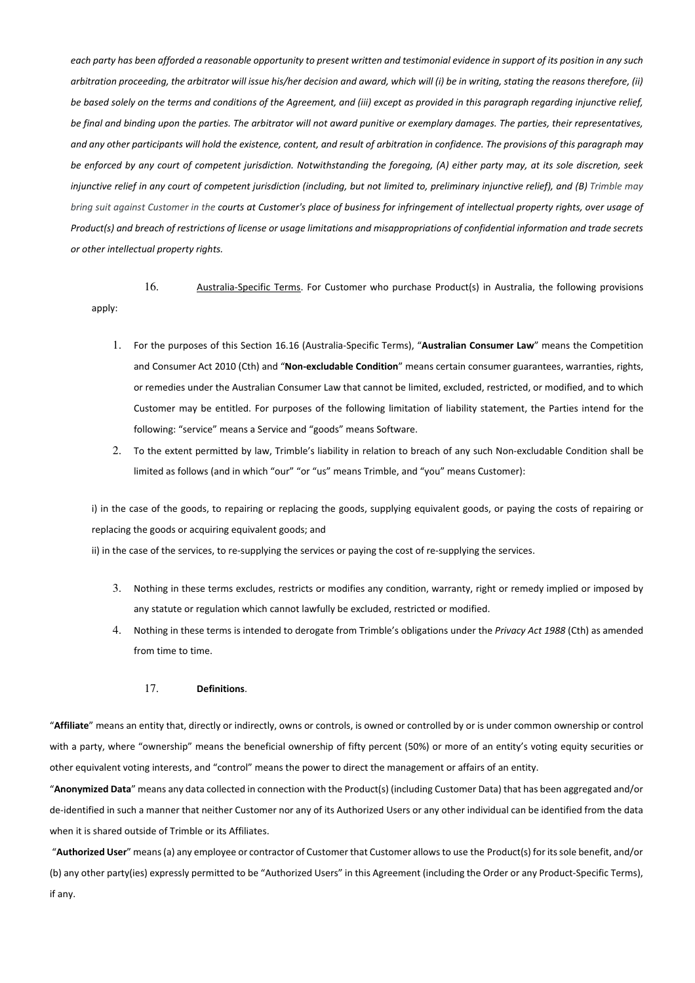*each party has been afforded a reasonable opportunity to present written and testimonial evidence in support of its position in any such arbitration proceeding, the arbitrator will issue his/her decision and award, which will (i) be in writing, stating the reasons therefore, (ii) be based solely on the terms and conditions of the Agreement, and (iii) except as provided in this paragraph regarding injunctive relief, be final and binding upon the parties. The arbitrator will not award punitive or exemplary damages. The parties, their representatives, and any other participants will hold the existence, content, and result of arbitration in confidence. The provisions of this paragraph may be enforced by any court of competent jurisdiction. Notwithstanding the foregoing, (A) either party may, at its sole discretion, seek injunctive relief in any court of competent jurisdiction (including, but not limited to, preliminary injunctive relief), and (B) Trimble may bring suit against Customer in the courts at Customer's place of business for infringement of intellectual property rights, over usage of Product(s) and breach of restrictions of license or usage limitations and misappropriations of confidential information and trade secrets or other intellectual property rights.*

16. Australia-Specific Terms. For Customer who purchase Product(s) in Australia, the following provisions apply:

- 1. For the purposes of this Section 16.16 (Australia-Specific Terms), "**Australian Consumer Law**" means the Competition and Consumer Act 2010 (Cth) and "**Non-excludable Condition**" means certain consumer guarantees, warranties, rights, or remedies under the Australian Consumer Law that cannot be limited, excluded, restricted, or modified, and to which Customer may be entitled. For purposes of the following limitation of liability statement, the Parties intend for the following: "service" means a Service and "goods" means Software.
- 2. To the extent permitted by law, Trimble's liability in relation to breach of any such Non-excludable Condition shall be limited as follows (and in which "our" "or "us" means Trimble, and "you" means Customer):

i) in the case of the goods, to repairing or replacing the goods, supplying equivalent goods, or paying the costs of repairing or replacing the goods or acquiring equivalent goods; and

ii) in the case of the services, to re-supplying the services or paying the cost of re-supplying the services.

- 3. Nothing in these terms excludes, restricts or modifies any condition, warranty, right or remedy implied or imposed by any statute or regulation which cannot lawfully be excluded, restricted or modified.
- 4. Nothing in these terms is intended to derogate from Trimble's obligations under the *Privacy Act 1988* (Cth) as amended from time to time.

## 17. **Definitions**.

"**Affiliate**" means an entity that, directly or indirectly, owns or controls, is owned or controlled by or is under common ownership or control with a party, where "ownership" means the beneficial ownership of fifty percent (50%) or more of an entity's voting equity securities or other equivalent voting interests, and "control" means the power to direct the management or affairs of an entity.

"**Anonymized Data**" means any data collected in connection with the Product(s) (including Customer Data) that has been aggregated and/or de-identified in such a manner that neither Customer nor any of its Authorized Users or any other individual can be identified from the data when it is shared outside of Trimble or its Affiliates.

 "**Authorized User**" means (a) any employee or contractor of Customer that Customer allows to use the Product(s) for its sole benefit, and/or (b) any other party(ies) expressly permitted to be "Authorized Users" in this Agreement (including the Order or any Product-Specific Terms), if any.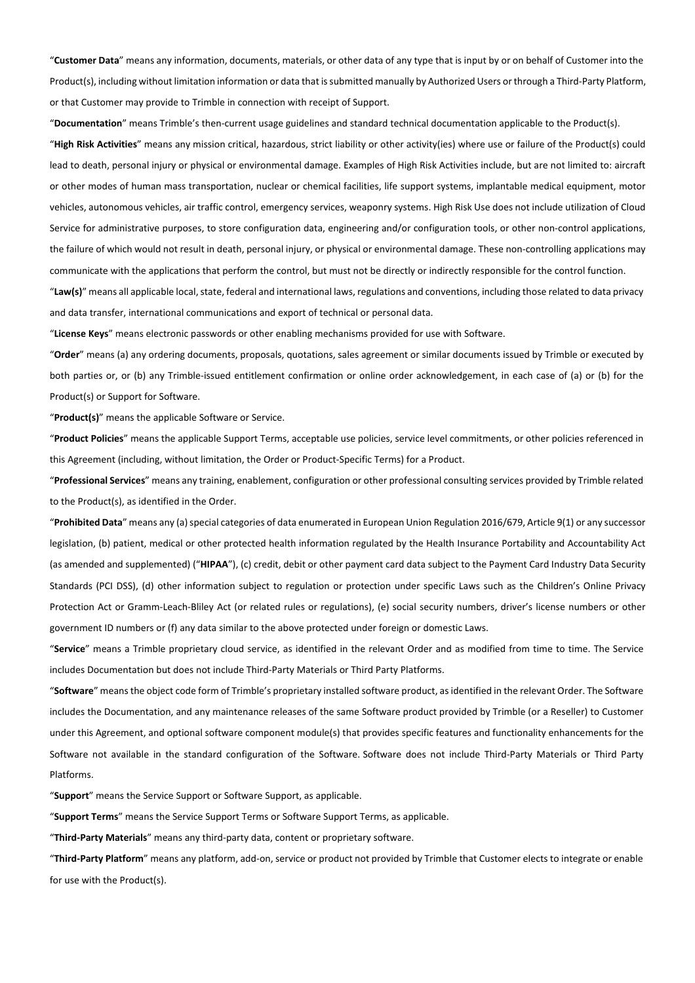"**Customer Data**" means any information, documents, materials, or other data of any type that is input by or on behalf of Customer into the Product(s), including without limitation information or data that is submitted manually by Authorized Users or through a Third-Party Platform, or that Customer may provide to Trimble in connection with receipt of Support.

"**Documentation**" means Trimble's then-current usage guidelines and standard technical documentation applicable to the Product(s).

"**High Risk Activities**" means any mission critical, hazardous, strict liability or other activity(ies) where use or failure of the Product(s) could lead to death, personal injury or physical or environmental damage. Examples of High Risk Activities include, but are not limited to: aircraft or other modes of human mass transportation, nuclear or chemical facilities, life support systems, implantable medical equipment, motor vehicles, autonomous vehicles, air traffic control, emergency services, weaponry systems. High Risk Use does not include utilization of Cloud Service for administrative purposes, to store configuration data, engineering and/or configuration tools, or other non-control applications, the failure of which would not result in death, personal injury, or physical or environmental damage. These non-controlling applications may communicate with the applications that perform the control, but must not be directly or indirectly responsible for the control function.

"**Law(s)**" means all applicable local, state, federal and international laws, regulations and conventions, including those related to data privacy and data transfer, international communications and export of technical or personal data.

"**License Keys**" means electronic passwords or other enabling mechanisms provided for use with Software.

"**Order**" means (a) any ordering documents, proposals, quotations, sales agreement or similar documents issued by Trimble or executed by both parties or, or (b) any Trimble-issued entitlement confirmation or online order acknowledgement, in each case of (a) or (b) for the Product(s) or Support for Software.

"**Product(s)**" means the applicable Software or Service.

"**Product Policies**" means the applicable Support Terms, acceptable use policies, service level commitments, or other policies referenced in this Agreement (including, without limitation, the Order or Product-Specific Terms) for a Product.

"**Professional Services**" means any training, enablement, configuration or other professional consulting services provided by Trimble related to the Product(s), as identified in the Order.

"**Prohibited Data**" means any (a) special categories of data enumerated in European Union Regulation 2016/679, Article 9(1) or any successor legislation, (b) patient, medical or other protected health information regulated by the Health Insurance Portability and Accountability Act (as amended and supplemented) ("**HIPAA**"), (c) credit, debit or other payment card data subject to the Payment Card Industry Data Security Standards (PCI DSS), (d) other information subject to regulation or protection under specific Laws such as the Children's Online Privacy Protection Act or Gramm-Leach-Bliley Act (or related rules or regulations), (e) social security numbers, driver's license numbers or other government ID numbers or (f) any data similar to the above protected under foreign or domestic Laws.

"**Service**" means a Trimble proprietary cloud service, as identified in the relevant Order and as modified from time to time. The Service includes Documentation but does not include Third-Party Materials or Third Party Platforms.

"**Software**" means the object code form of Trimble's proprietary installed software product, as identified in the relevant Order. The Software includes the Documentation, and any maintenance releases of the same Software product provided by Trimble (or a Reseller) to Customer under this Agreement, and optional software component module(s) that provides specific features and functionality enhancements for the Software not available in the standard configuration of the Software. Software does not include Third-Party Materials or Third Party Platforms.

"**Support**" means the Service Support or Software Support, as applicable.

"**Support Terms**" means the Service Support Terms or Software Support Terms, as applicable.

"**Third-Party Materials**" means any third-party data, content or proprietary software.

"**Third-Party Platform**" means any platform, add-on, service or product not provided by Trimble that Customer elects to integrate or enable for use with the Product(s).